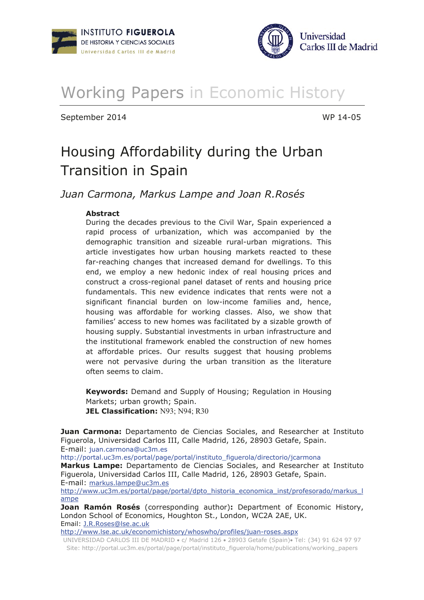



# Working Papers in Economic History

September 2014 **September 2014** 

# Housing Affordability during the Urban Transition in Spain

Juan Carmona, Markus Lampe and Joan R.Rosés

# **Abstract**

During the decades previous to the Civil War, Spain experienced a rapid process of urbanization, which was accompanied by the demographic transition and sizeable rural-urban migrations. This article investigates how urban housing markets reacted to these far-reaching changes that increased demand for dwellings. To this end, we employ a new hedonic index of real housing prices and construct a cross-regional panel dataset of rents and housing price fundamentals. This new evidence indicates that rents were not a significant financial burden on low-income families and, hence, housing was affordable for working classes. Also, we show that families' access to new homes was facilitated by a sizable growth of housing supply. Substantial investments in urban infrastructure and the institutional framework enabled the construction of new homes at affordable prices. Our results suggest that housing problems were not pervasive during the urban transition as the literature often seems to claim.

Keywords: Demand and Supply of Housing; Regulation in Housing Markets; urban growth; Spain. **JEL Classification: N93; N94; R30** 

**Juan Carmona:** Departamento de Ciencias Sociales, and Researcher at Instituto Figuerola, Universidad Carlos III, Calle Madrid, 126, 28903 Getafe, Spain. E-mail: juan.carmona@uc3m.es

http://portal.uc3m.es/portal/page/portal/instituto figuerola/directorio/jcarmona

**Markus Lampe:** Departamento de Ciencias Sociales, and Researcher at Instituto Figuerola, Universidad Carlos III, Calle Madrid, 126, 28903 Getafe, Spain. E-mail: markus.lampe@uc3m.es

http://www.uc3m.es/portal/page/portal/dpto historia economica inst/profesorado/markus I ampe

**Joan Ramón Rosés** (corresponding author): Department of Economic History, London School of Economics, Houghton St., London, WC2A 2AE, UK. Email: J.R.Roses@lse.ac.uk

http://www.lse.ac.uk/economichistory/whoswho/profiles/juan-roses.aspx

UNIVERSIDAD CARLOS III DE MADRID · c/ Madrid 126 · 28903 Getafe (Spain) · Tel: (34) 91 624 97 97 Site: http://portal.uc3m.es/portal/page/portal/instituto\_figuerola/home/publications/working\_papers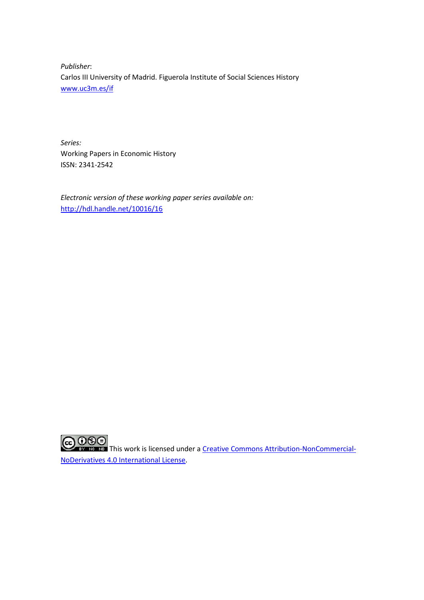*Publisher*: Carlos III University of Madrid. Figuerola Institute of Social Sciences History www.uc3m.es/if

*Series:*  Working Papers in Economic History ISSN: 2341-2542

*Electronic version of these working paper series available on:*  http://hdl.handle.net/10016/16

**COOSE**<br>This work is licensed under a Creative Commons Attribution-NonCommercial-NoDerivatives 4.0 International License.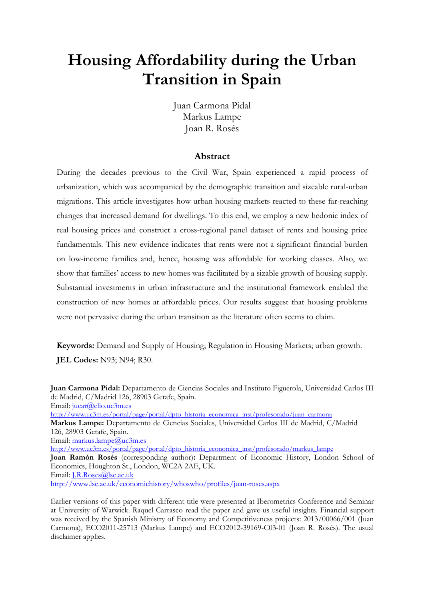# **Housing Affordability during the Urban Transition in Spain**

Juan Carmona Pidal Markus Lampe Joan R. Rosés

# **Abstract**

During the decades previous to the Civil War, Spain experienced a rapid process of urbanization, which was accompanied by the demographic transition and sizeable rural-urban migrations. This article investigates how urban housing markets reacted to these far-reaching changes that increased demand for dwellings. To this end, we employ a new hedonic index of real housing prices and construct a cross-regional panel dataset of rents and housing price fundamentals. This new evidence indicates that rents were not a significant financial burden on low-income families and, hence, housing was affordable for working classes. Also, we show that families' access to new homes was facilitated by a sizable growth of housing supply. Substantial investments in urban infrastructure and the institutional framework enabled the construction of new homes at affordable prices. Our results suggest that housing problems were not pervasive during the urban transition as the literature often seems to claim.

**Keywords:** Demand and Supply of Housing; Regulation in Housing Markets; urban growth. **JEL Codes:** N93; N94; R30.

**Juan Carmona Pidal:** Departamento de Ciencias Sociales and Instituto Figuerola, Universidad Carlos III de Madrid, C/Madrid 126, 28903 Getafe, Spain. Email: jucar@clio.uc3m.es http://www.uc3m.es/portal/page/portal/dpto\_historia\_economica\_inst/profesorado/juan\_carmona **Markus Lampe:** Departamento de Ciencias Sociales, Universidad Carlos III de Madrid, C/Madrid 126, 28903 Getafe, Spain. Email: markus.lampe@uc3m.es http://www.uc3m.es/portal/page/portal/dpto\_historia\_economica\_inst/profesorado/markus\_lampe **Joan Ramón Rosés** (corresponding author)**:** Department of Economic History, London School of Economics, Houghton St., London, WC2A 2AE, UK. Email: J.R.Roses@lse.ac.uk http://www.lse.ac.uk/economichistory/whoswho/profiles/juan-roses.aspx

Earlier versions of this paper with different title were presented at Iberometrics Conference and Seminar at University of Warwick. Raquel Carrasco read the paper and gave us useful insights. Financial support was received by the Spanish Ministry of Economy and Competitiveness projects: 2013/00066/001 (Juan Carmona), ECO2011-25713 (Markus Lampe) and ECO2012-39169-C03-01 (Joan R. Rosés). The usual disclaimer applies.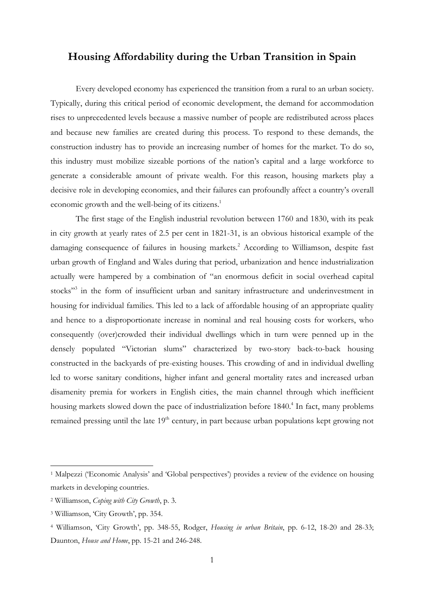# **Housing Affordability during the Urban Transition in Spain**

Every developed economy has experienced the transition from a rural to an urban society. Typically, during this critical period of economic development, the demand for accommodation rises to unprecedented levels because a massive number of people are redistributed across places and because new families are created during this process. To respond to these demands, the construction industry has to provide an increasing number of homes for the market. To do so, this industry must mobilize sizeable portions of the nation's capital and a large workforce to generate a considerable amount of private wealth. For this reason, housing markets play a decisive role in developing economies, and their failures can profoundly affect a country's overall economic growth and the well-being of its citizens.<sup>1</sup>

The first stage of the English industrial revolution between 1760 and 1830, with its peak in city growth at yearly rates of 2.5 per cent in 1821-31, is an obvious historical example of the damaging consequence of failures in housing markets.<sup>2</sup> According to Williamson, despite fast urban growth of England and Wales during that period, urbanization and hence industrialization actually were hampered by a combination of "an enormous deficit in social overhead capital stocks"<sup>3</sup> in the form of insufficient urban and sanitary infrastructure and underinvestment in housing for individual families. This led to a lack of affordable housing of an appropriate quality and hence to a disproportionate increase in nominal and real housing costs for workers, who consequently (over)crowded their individual dwellings which in turn were penned up in the densely populated "Victorian slums" characterized by two-story back-to-back housing constructed in the backyards of pre-existing houses. This crowding of and in individual dwelling led to worse sanitary conditions, higher infant and general mortality rates and increased urban disamenity premia for workers in English cities, the main channel through which inefficient housing markets slowed down the pace of industrialization before 1840.<sup>4</sup> In fact, many problems remained pressing until the late  $19<sup>th</sup>$  century, in part because urban populations kept growing not

<sup>&</sup>lt;sup>1</sup> Malpezzi ('Economic Analysis' and 'Global perspectives') provides a review of the evidence on housing markets in developing countries.

<sup>2</sup> Williamson, *Coping with City Growth*, p. 3.

<sup>3</sup> Williamson, 'City Growth', pp. 354.

<sup>4</sup> Williamson, 'City Growth', pp. 348-55, Rodger, *Housing in urban Britain*, pp. 6-12, 18-20 and 28-33; Daunton, *House and Home*, pp. 15-21 and 246-248.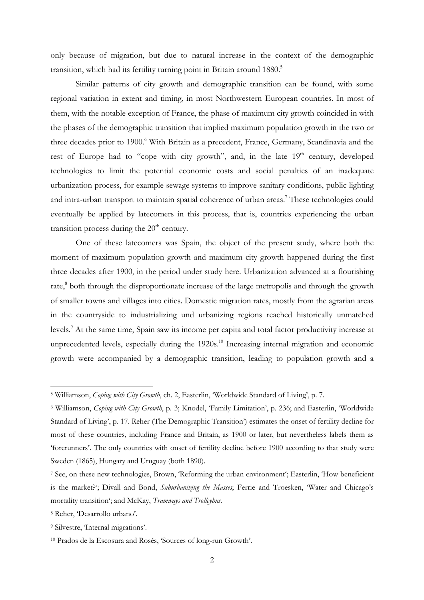only because of migration, but due to natural increase in the context of the demographic transition, which had its fertility turning point in Britain around 1880.<sup>5</sup>

Similar patterns of city growth and demographic transition can be found, with some regional variation in extent and timing, in most Northwestern European countries. In most of them, with the notable exception of France, the phase of maximum city growth coincided in with the phases of the demographic transition that implied maximum population growth in the two or three decades prior to 1900.<sup>6</sup> With Britain as a precedent, France, Germany, Scandinavia and the rest of Europe had to "cope with city growth", and, in the late  $19<sup>th</sup>$  century, developed technologies to limit the potential economic costs and social penalties of an inadequate urbanization process, for example sewage systems to improve sanitary conditions, public lighting and intra-urban transport to maintain spatial coherence of urban areas.<sup>7</sup> These technologies could eventually be applied by latecomers in this process, that is, countries experiencing the urban transition process during the  $20<sup>th</sup>$  century.

One of these latecomers was Spain, the object of the present study, where both the moment of maximum population growth and maximum city growth happened during the first three decades after 1900, in the period under study here. Urbanization advanced at a flourishing rate,<sup>8</sup> both through the disproportionate increase of the large metropolis and through the growth of smaller towns and villages into cities. Domestic migration rates, mostly from the agrarian areas in the countryside to industrializing und urbanizing regions reached historically unmatched levels.<sup>9</sup> At the same time, Spain saw its income per capita and total factor productivity increase at unprecedented levels, especially during the 1920s.<sup>10</sup> Increasing internal migration and economic growth were accompanied by a demographic transition, leading to population growth and a

<sup>5</sup> Williamson, *Coping with City Growth*, ch. 2, Easterlin, 'Worldwide Standard of Living', p. 7.

<sup>6</sup> Williamson, *Coping with City Growth*, p. 3; Knodel, 'Family Limitation', p. 236; and Easterlin, 'Worldwide Standard of Living', p. 17. Reher (The Demographic Transition') estimates the onset of fertility decline for most of these countries, including France and Britain, as 1900 or later, but nevertheless labels them as 'forerunners'. The only countries with onset of fertility decline before 1900 according to that study were Sweden (1865), Hungary and Uruguay (both 1890).

<sup>7</sup> See, on these new technologies, Brown, 'Reforming the urban environment'; Easterlin, 'How beneficient is the market?'; Divall and Bond, *Suburbanizing the Masses*; Ferrie and Troesken, 'Water and Chicago's mortality transition'; and McKay, *Tramways and Trolleybus.*

<sup>8</sup> Reher, 'Desarrollo urbano'.

<sup>9</sup> Silvestre, 'Internal migrations'.

<sup>10</sup> Prados de la Escosura and Rosés, 'Sources of long-run Growth'.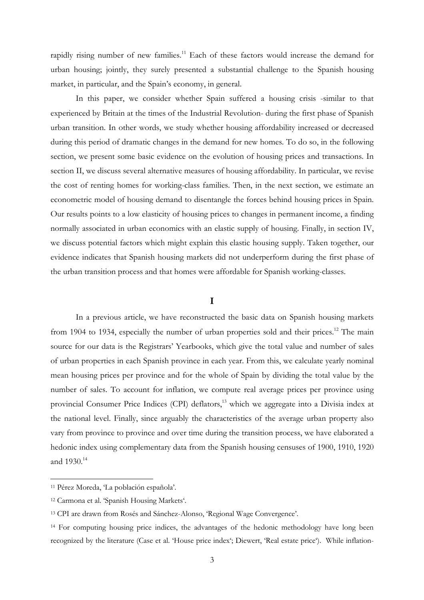rapidly rising number of new families.<sup>11</sup> Each of these factors would increase the demand for urban housing; jointly, they surely presented a substantial challenge to the Spanish housing market, in particular, and the Spain's economy, in general.

In this paper, we consider whether Spain suffered a housing crisis -similar to that experienced by Britain at the times of the Industrial Revolution- during the first phase of Spanish urban transition. In other words, we study whether housing affordability increased or decreased during this period of dramatic changes in the demand for new homes. To do so, in the following section, we present some basic evidence on the evolution of housing prices and transactions. In section II, we discuss several alternative measures of housing affordability. In particular, we revise the cost of renting homes for working-class families. Then, in the next section, we estimate an econometric model of housing demand to disentangle the forces behind housing prices in Spain. Our results points to a low elasticity of housing prices to changes in permanent income, a finding normally associated in urban economics with an elastic supply of housing. Finally, in section IV, we discuss potential factors which might explain this elastic housing supply. Taken together, our evidence indicates that Spanish housing markets did not underperform during the first phase of the urban transition process and that homes were affordable for Spanish working-classes.

# **I**

In a previous article, we have reconstructed the basic data on Spanish housing markets from 1904 to 1934, especially the number of urban properties sold and their prices.<sup>12</sup> The main source for our data is the Registrars' Yearbooks, which give the total value and number of sales of urban properties in each Spanish province in each year. From this, we calculate yearly nominal mean housing prices per province and for the whole of Spain by dividing the total value by the number of sales. To account for inflation, we compute real average prices per province using provincial Consumer Price Indices (CPI) deflators,<sup>13</sup> which we aggregate into a Divisia index at the national level. Finally, since arguably the characteristics of the average urban property also vary from province to province and over time during the transition process, we have elaborated a hedonic index using complementary data from the Spanish housing censuses of 1900, 1910, 1920 and  $1930.^{14}$ 

<sup>11</sup> Pérez Moreda, 'La población española'.

<sup>12</sup> Carmona et al. 'Spanish Housing Markets'.

<sup>13</sup> CPI are drawn from Rosés and Sánchez-Alonso, 'Regional Wage Convergence'.

<sup>&</sup>lt;sup>14</sup> For computing housing price indices, the advantages of the hedonic methodology have long been recognized by the literature (Case et al. 'House price index'; Diewert, 'Real estate price'). While inflation-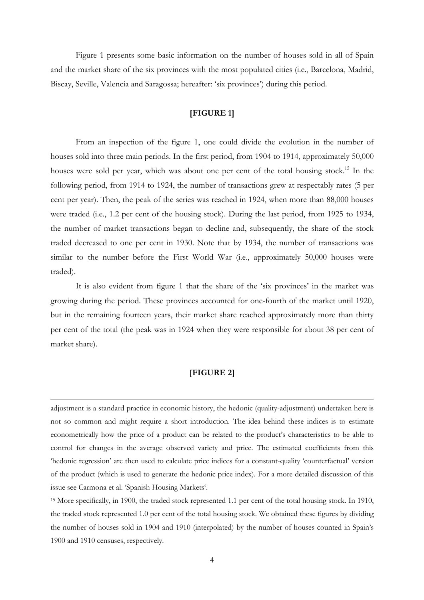Figure 1 presents some basic information on the number of houses sold in all of Spain and the market share of the six provinces with the most populated cities (i.e., Barcelona, Madrid, Biscay, Seville, Valencia and Saragossa; hereafter: 'six provinces') during this period.

# **[FIGURE 1]**

From an inspection of the figure 1, one could divide the evolution in the number of houses sold into three main periods. In the first period, from 1904 to 1914, approximately 50,000 houses were sold per year, which was about one per cent of the total housing stock.<sup>15</sup> In the following period, from 1914 to 1924, the number of transactions grew at respectably rates (5 per cent per year). Then, the peak of the series was reached in 1924, when more than 88,000 houses were traded (i.e., 1.2 per cent of the housing stock). During the last period, from 1925 to 1934, the number of market transactions began to decline and, subsequently, the share of the stock traded decreased to one per cent in 1930. Note that by 1934, the number of transactions was similar to the number before the First World War (i.e., approximately 50,000 houses were traded).

It is also evident from figure 1 that the share of the 'six provinces' in the market was growing during the period. These provinces accounted for one-fourth of the market until 1920, but in the remaining fourteen years, their market share reached approximately more than thirty per cent of the total (the peak was in 1924 when they were responsible for about 38 per cent of market share).

# **[FIGURE 2]**

l

adjustment is a standard practice in economic history, the hedonic (quality-adjustment) undertaken here is not so common and might require a short introduction. The idea behind these indices is to estimate econometrically how the price of a product can be related to the product's characteristics to be able to control for changes in the average observed variety and price. The estimated coefficients from this 'hedonic regression' are then used to calculate price indices for a constant-quality 'counterfactual' version of the product (which is used to generate the hedonic price index). For a more detailed discussion of this issue see Carmona et al. 'Spanish Housing Markets'.

<sup>15</sup> More specifically, in 1900, the traded stock represented 1.1 per cent of the total housing stock. In 1910, the traded stock represented 1.0 per cent of the total housing stock. We obtained these figures by dividing the number of houses sold in 1904 and 1910 (interpolated) by the number of houses counted in Spain's 1900 and 1910 censuses, respectively.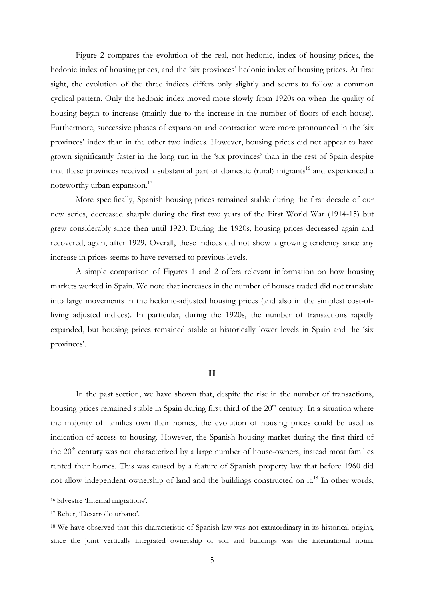Figure 2 compares the evolution of the real, not hedonic, index of housing prices, the hedonic index of housing prices, and the 'six provinces' hedonic index of housing prices. At first sight, the evolution of the three indices differs only slightly and seems to follow a common cyclical pattern. Only the hedonic index moved more slowly from 1920s on when the quality of housing began to increase (mainly due to the increase in the number of floors of each house). Furthermore, successive phases of expansion and contraction were more pronounced in the 'six provinces' index than in the other two indices. However, housing prices did not appear to have grown significantly faster in the long run in the 'six provinces' than in the rest of Spain despite that these provinces received a substantial part of domestic (rural) migrants<sup>16</sup> and experienced a noteworthy urban expansion.<sup>17</sup>

 More specifically, Spanish housing prices remained stable during the first decade of our new series, decreased sharply during the first two years of the First World War (1914-15) but grew considerably since then until 1920. During the 1920s, housing prices decreased again and recovered, again, after 1929. Overall, these indices did not show a growing tendency since any increase in prices seems to have reversed to previous levels.

 A simple comparison of Figures 1 and 2 offers relevant information on how housing markets worked in Spain. We note that increases in the number of houses traded did not translate into large movements in the hedonic-adjusted housing prices (and also in the simplest cost-ofliving adjusted indices). In particular, during the 1920s, the number of transactions rapidly expanded, but housing prices remained stable at historically lower levels in Spain and the 'six provinces'.

#### **II**

 In the past section, we have shown that, despite the rise in the number of transactions, housing prices remained stable in Spain during first third of the  $20<sup>th</sup>$  century. In a situation where the majority of families own their homes, the evolution of housing prices could be used as indication of access to housing. However, the Spanish housing market during the first third of the  $20<sup>th</sup>$  century was not characterized by a large number of house-owners, instead most families rented their homes. This was caused by a feature of Spanish property law that before 1960 did not allow independent ownership of land and the buildings constructed on it.<sup>18</sup> In other words,

 $\overline{a}$ 

<sup>16</sup> Silvestre 'Internal migrations'.

<sup>17</sup> Reher, 'Desarrollo urbano'.

<sup>18</sup> We have observed that this characteristic of Spanish law was not extraordinary in its historical origins, since the joint vertically integrated ownership of soil and buildings was the international norm.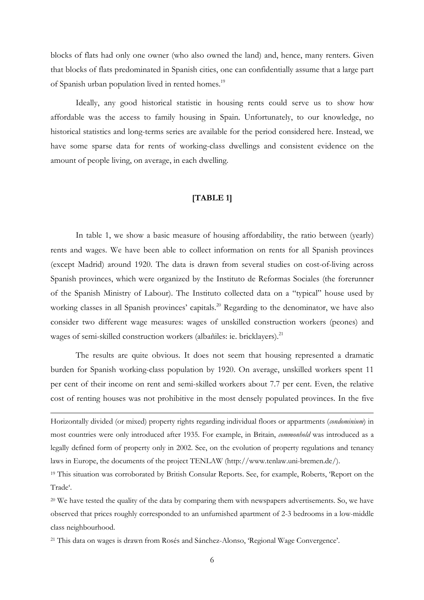blocks of flats had only one owner (who also owned the land) and, hence, many renters. Given that blocks of flats predominated in Spanish cities, one can confidentially assume that a large part of Spanish urban population lived in rented homes.<sup>19</sup>

Ideally, any good historical statistic in housing rents could serve us to show how affordable was the access to family housing in Spain. Unfortunately, to our knowledge, no historical statistics and long-terms series are available for the period considered here. Instead, we have some sparse data for rents of working-class dwellings and consistent evidence on the amount of people living, on average, in each dwelling.

#### **[TABLE 1]**

In table 1, we show a basic measure of housing affordability, the ratio between (yearly) rents and wages. We have been able to collect information on rents for all Spanish provinces (except Madrid) around 1920. The data is drawn from several studies on cost-of-living across Spanish provinces, which were organized by the Instituto de Reformas Sociales (the forerunner of the Spanish Ministry of Labour). The Instituto collected data on a "typical" house used by working classes in all Spanish provinces' capitals.<sup>20</sup> Regarding to the denominator, we have also consider two different wage measures: wages of unskilled construction workers (peones) and wages of semi-skilled construction workers (albañiles: ie. bricklayers).<sup>21</sup>

 The results are quite obvious. It does not seem that housing represented a dramatic burden for Spanish working-class population by 1920. On average, unskilled workers spent 11 per cent of their income on rent and semi-skilled workers about 7.7 per cent. Even, the relative cost of renting houses was not prohibitive in the most densely populated provinces. In the five

Horizontally divided (or mixed) property rights regarding individual floors or appartments (*condominium*) in most countries were only introduced after 1935. For example, in Britain, *commonhold* was introduced as a legally defined form of property only in 2002. See, on the evolution of property regulations and tenancy laws in Europe, the documents of the project TENLAW (http://www.tenlaw.uni-bremen.de/).

 $\overline{a}$ 

<sup>19</sup> This situation was corroborated by British Consular Reports. See, for example, Roberts, 'Report on the Trade'.

<sup>20</sup> We have tested the quality of the data by comparing them with newspapers advertisements. So, we have observed that prices roughly corresponded to an unfurnished apartment of 2-3 bedrooms in a low-middle class neighbourhood.

21 This data on wages is drawn from Rosés and Sánchez-Alonso, 'Regional Wage Convergence'.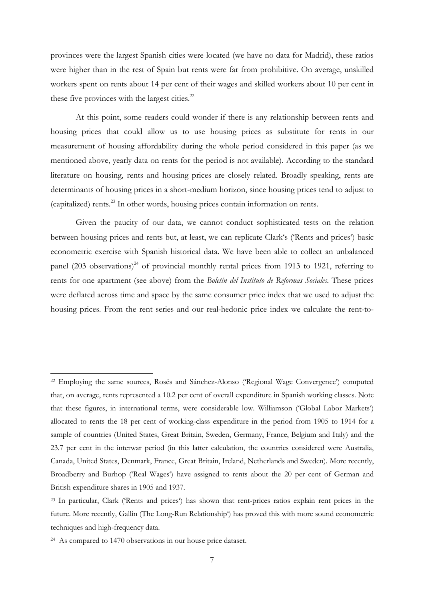provinces were the largest Spanish cities were located (we have no data for Madrid), these ratios were higher than in the rest of Spain but rents were far from prohibitive. On average, unskilled workers spent on rents about 14 per cent of their wages and skilled workers about 10 per cent in these five provinces with the largest cities. $^{22}$ 

At this point, some readers could wonder if there is any relationship between rents and housing prices that could allow us to use housing prices as substitute for rents in our measurement of housing affordability during the whole period considered in this paper (as we mentioned above, yearly data on rents for the period is not available). According to the standard literature on housing, rents and housing prices are closely related. Broadly speaking, rents are determinants of housing prices in a short-medium horizon, since housing prices tend to adjust to (capitalized) rents.<sup>23</sup> In other words, housing prices contain information on rents.

Given the paucity of our data, we cannot conduct sophisticated tests on the relation between housing prices and rents but, at least, we can replicate Clark's ('Rents and prices') basic econometric exercise with Spanish historical data. We have been able to collect an unbalanced panel (203 observations)<sup>24</sup> of provincial monthly rental prices from 1913 to 1921, referring to rents for one apartment (see above) from the *Boletín del Instituto de Reformas Sociales*. These prices were deflated across time and space by the same consumer price index that we used to adjust the housing prices. From the rent series and our real-hedonic price index we calculate the rent-to-

<sup>22</sup> Employing the same sources, Rosés and Sánchez-Alonso ('Regional Wage Convergence') computed that, on average, rents represented a 10.2 per cent of overall expenditure in Spanish working classes. Note that these figures, in international terms, were considerable low. Williamson ('Global Labor Markets') allocated to rents the 18 per cent of working-class expenditure in the period from 1905 to 1914 for a sample of countries (United States, Great Britain, Sweden, Germany, France, Belgium and Italy) and the 23.7 per cent in the interwar period (in this latter calculation, the countries considered were Australia, Canada, United States, Denmark, France, Great Britain, Ireland, Netherlands and Sweden). More recently, Broadberry and Burhop ('Real Wages') have assigned to rents about the 20 per cent of German and British expenditure shares in 1905 and 1937.

<sup>23</sup> In particular, Clark ('Rents and prices') has shown that rent-prices ratios explain rent prices in the future. More recently, Gallin (The Long-Run Relationship') has proved this with more sound econometric techniques and high-frequency data.

<sup>24</sup> As compared to 1470 observations in our house price dataset.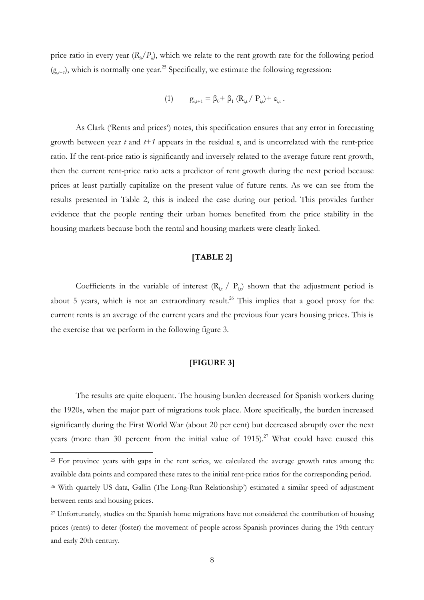price ratio in every year  $(R<sub>i</sub>/P<sub>i</sub>)$ , which we relate to the rent growth rate for the following period  $(g_{i,t})$ , which is normally one year.<sup>25</sup> Specifically, we estimate the following regression:

$$
(1) \qquad g_{i,t+1} = \beta_0 + \, \beta_1 \; (R_{i,t} \, / \, \, P_{i,t}) + \, \epsilon_{i,t} \; .
$$

As Clark ('Rents and prices') notes, this specification ensures that any error in forecasting growth between year  $t$  and  $t+1$  appears in the residual  $\varepsilon$ <sub>i</sub> and is uncorrelated with the rent-price ratio. If the rent-price ratio is significantly and inversely related to the average future rent growth, then the current rent-price ratio acts a predictor of rent growth during the next period because prices at least partially capitalize on the present value of future rents. As we can see from the results presented in Table 2, this is indeed the case during our period. This provides further evidence that the people renting their urban homes benefited from the price stability in the housing markets because both the rental and housing markets were clearly linked.

# **[TABLE 2]**

Coefficients in the variable of interest  $(R_i, \nvert P_i)$  shown that the adjustment period is about 5 years, which is not an extraordinary result.<sup>26</sup> This implies that a good proxy for the current rents is an average of the current years and the previous four years housing prices. This is the exercise that we perform in the following figure 3.

# **[FIGURE 3]**

The results are quite eloquent. The housing burden decreased for Spanish workers during the 1920s, when the major part of migrations took place. More specifically, the burden increased significantly during the First World War (about 20 per cent) but decreased abruptly over the next years (more than 30 percent from the initial value of 1915).<sup>27</sup> What could have caused this

<sup>&</sup>lt;sup>25</sup> For province years with gaps in the rent series, we calculated the average growth rates among the available data points and compared these rates to the initial rent-price ratios for the corresponding period.

<sup>26</sup> With quartely US data, Gallin (The Long-Run Relationship') estimated a similar speed of adjustment between rents and housing prices.

<sup>&</sup>lt;sup>27</sup> Unfortunately, studies on the Spanish home migrations have not considered the contribution of housing prices (rents) to deter (foster) the movement of people across Spanish provinces during the 19th century and early 20th century.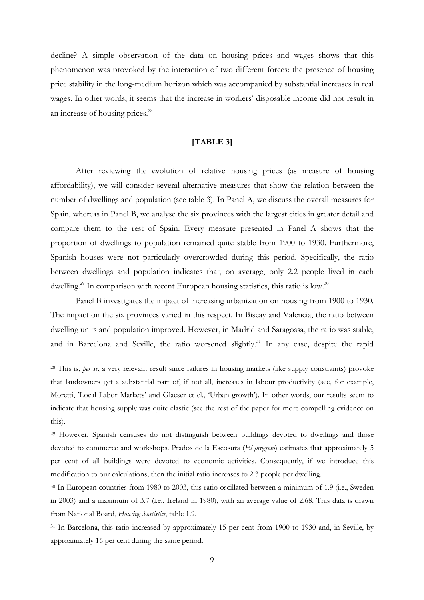decline? A simple observation of the data on housing prices and wages shows that this phenomenon was provoked by the interaction of two different forces: the presence of housing price stability in the long-medium horizon which was accompanied by substantial increases in real wages. In other words, it seems that the increase in workers' disposable income did not result in an increase of housing prices.<sup>28</sup>

#### **[TABLE 3]**

After reviewing the evolution of relative housing prices (as measure of housing affordability), we will consider several alternative measures that show the relation between the number of dwellings and population (see table 3). In Panel A, we discuss the overall measures for Spain, whereas in Panel B, we analyse the six provinces with the largest cities in greater detail and compare them to the rest of Spain. Every measure presented in Panel A shows that the proportion of dwellings to population remained quite stable from 1900 to 1930. Furthermore, Spanish houses were not particularly overcrowded during this period. Specifically, the ratio between dwellings and population indicates that, on average, only 2.2 people lived in each dwelling.<sup>29</sup> In comparison with recent European housing statistics, this ratio is low.<sup>30</sup>

Panel B investigates the impact of increasing urbanization on housing from 1900 to 1930. The impact on the six provinces varied in this respect. In Biscay and Valencia, the ratio between dwelling units and population improved. However, in Madrid and Saragossa, the ratio was stable, and in Barcelona and Seville, the ratio worsened slightly.<sup>31</sup> In any case, despite the rapid

<sup>28</sup> This is, *per se*, a very relevant result since failures in housing markets (like supply constraints) provoke that landowners get a substantial part of, if not all, increases in labour productivity (see, for example, Moretti, 'Local Labor Markets' and Glaeser et el., 'Urban growth'). In other words, our results seem to indicate that housing supply was quite elastic (see the rest of the paper for more compelling evidence on this).

<sup>29</sup> However, Spanish censuses do not distinguish between buildings devoted to dwellings and those devoted to commerce and workshops. Prados de la Escosura (*El progreso*) estimates that approximately 5 per cent of all buildings were devoted to economic activities. Consequently, if we introduce this modification to our calculations, then the initial ratio increases to 2.3 people per dwelling.

<sup>30</sup> In European countries from 1980 to 2003, this ratio oscillated between a minimum of 1.9 (i.e., Sweden in 2003) and a maximum of 3.7 (i.e., Ireland in 1980), with an average value of 2.68. This data is drawn from National Board, *Housing Statistics*, table 1.9.

<sup>&</sup>lt;sup>31</sup> In Barcelona, this ratio increased by approximately 15 per cent from 1900 to 1930 and, in Seville, by approximately 16 per cent during the same period.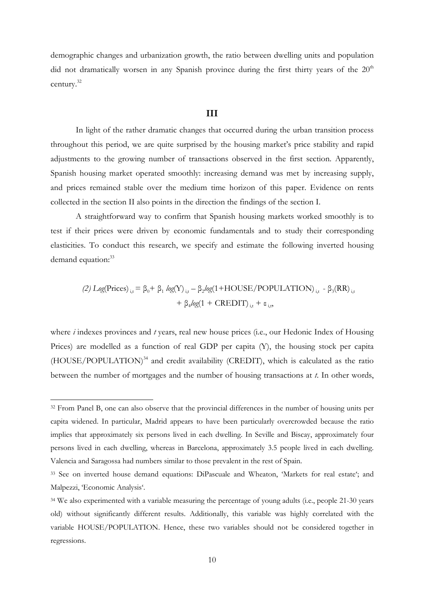demographic changes and urbanization growth, the ratio between dwelling units and population did not dramatically worsen in any Spanish province during the first thirty years of the  $20<sup>th</sup>$ century.<sup>32</sup>

#### **III**

In light of the rather dramatic changes that occurred during the urban transition process throughout this period, we are quite surprised by the housing market's price stability and rapid adjustments to the growing number of transactions observed in the first section. Apparently, Spanish housing market operated smoothly: increasing demand was met by increasing supply, and prices remained stable over the medium time horizon of this paper. Evidence on rents collected in the section II also points in the direction the findings of the section I.

A straightforward way to confirm that Spanish housing markets worked smoothly is to test if their prices were driven by economic fundamentals and to study their corresponding elasticities. To conduct this research, we specify and estimate the following inverted housing demand equation:<sup>33</sup>

(2) 
$$
Log(\text{Prices})_{i,t} = \beta_0 + \beta_1 \log(Y)_{i,t} - \beta_2 \log(1 + \text{HOUSE/POPULATION})_{i,t} - \beta_3 (\text{RR})_{i,t} + \beta_4 \log(1 + \text{CREDIT})_{i,t} + \varepsilon_{i,t}
$$

where *i* indexes provinces and *t* years, real new house prices (i.e., our Hedonic Index of Housing Prices) are modelled as a function of real GDP per capita (Y), the housing stock per capita (HOUSE/POPULATION)<sup>34</sup> and credit availability (CREDIT), which is calculated as the ratio between the number of mortgages and the number of housing transactions at *t*. In other words,

<sup>&</sup>lt;sup>32</sup> From Panel B, one can also observe that the provincial differences in the number of housing units per capita widened. In particular, Madrid appears to have been particularly overcrowded because the ratio implies that approximately six persons lived in each dwelling. In Seville and Biscay, approximately four persons lived in each dwelling, whereas in Barcelona, approximately 3.5 people lived in each dwelling. Valencia and Saragossa had numbers similar to those prevalent in the rest of Spain.

<sup>33</sup> See on inverted house demand equations: DiPascuale and Wheaton, 'Markets for real estate'; and Malpezzi, 'Economic Analysis'.

<sup>34</sup> We also experimented with a variable measuring the percentage of young adults (i.e., people 21-30 years old) without significantly different results. Additionally, this variable was highly correlated with the variable HOUSE/POPULATION. Hence, these two variables should not be considered together in regressions.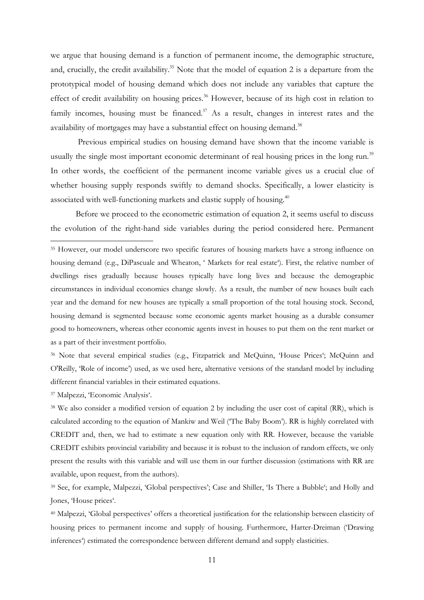we argue that housing demand is a function of permanent income, the demographic structure, and, crucially, the credit availability.<sup>35</sup> Note that the model of equation 2 is a departure from the prototypical model of housing demand which does not include any variables that capture the effect of credit availability on housing prices.<sup>36</sup> However, because of its high cost in relation to family incomes, housing must be financed.<sup>37</sup> As a result, changes in interest rates and the availability of mortgages may have a substantial effect on housing demand. $^{38}$ 

 Previous empirical studies on housing demand have shown that the income variable is usually the single most important economic determinant of real housing prices in the long run.<sup>39</sup> In other words, the coefficient of the permanent income variable gives us a crucial clue of whether housing supply responds swiftly to demand shocks. Specifically, a lower elasticity is associated with well-functioning markets and elastic supply of housing.<sup>40</sup>

 Before we proceed to the econometric estimation of equation 2, it seems useful to discuss the evolution of the right-hand side variables during the period considered here. Permanent

<sup>36</sup> Note that several empirical studies (e.g., Fitzpatrick and McQuinn, 'House Prices'; McQuinn and O'Reilly, 'Role of income') used, as we used here, alternative versions of the standard model by including different financial variables in their estimated equations.

<sup>37</sup> Malpezzi, 'Economic Analysis'.

l

<sup>38</sup> We also consider a modified version of equation 2 by including the user cost of capital (RR), which is calculated according to the equation of Mankiw and Weil ('The Baby Boom'). RR is highly correlated with CREDIT and, then, we had to estimate a new equation only with RR. However, because the variable CREDIT exhibits provincial variability and because it is robust to the inclusion of random effects, we only present the results with this variable and will use them in our further discussion (estimations with RR are available, upon request, from the authors).

<sup>39</sup> See, for example, Malpezzi, 'Global perspectives'; Case and Shiller, 'Is There a Bubble'; and Holly and Jones, 'House prices'.

<sup>40</sup> Malpezzi, 'Global perspectives' offers a theoretical justification for the relationship between elasticity of housing prices to permanent income and supply of housing. Furthermore, Harter-Dreiman ('Drawing inferences') estimated the correspondence between different demand and supply elasticities.

<sup>&</sup>lt;sup>35</sup> However, our model underscore two specific features of housing markets have a strong influence on housing demand (e.g., DiPascuale and Wheaton, ' Markets for real estate'). First, the relative number of dwellings rises gradually because houses typically have long lives and because the demographic circumstances in individual economies change slowly. As a result, the number of new houses built each year and the demand for new houses are typically a small proportion of the total housing stock. Second, housing demand is segmented because some economic agents market housing as a durable consumer good to homeowners, whereas other economic agents invest in houses to put them on the rent market or as a part of their investment portfolio.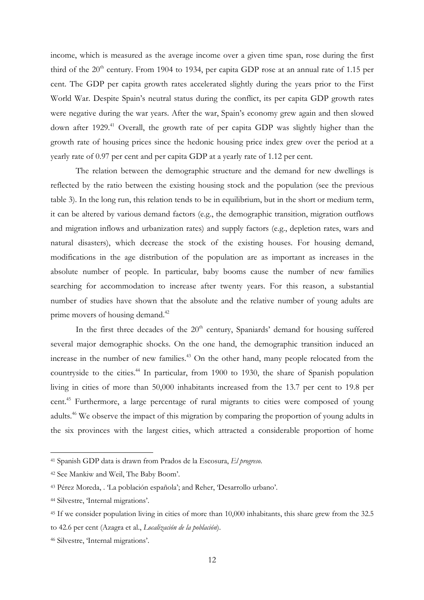income, which is measured as the average income over a given time span, rose during the first third of the  $20<sup>th</sup>$  century. From 1904 to 1934, per capita GDP rose at an annual rate of 1.15 per cent. The GDP per capita growth rates accelerated slightly during the years prior to the First World War. Despite Spain's neutral status during the conflict, its per capita GDP growth rates were negative during the war years. After the war, Spain's economy grew again and then slowed down after 1929.<sup>41</sup> Overall, the growth rate of per capita GDP was slightly higher than the growth rate of housing prices since the hedonic housing price index grew over the period at a yearly rate of 0.97 per cent and per capita GDP at a yearly rate of 1.12 per cent.

 The relation between the demographic structure and the demand for new dwellings is reflected by the ratio between the existing housing stock and the population (see the previous table 3). In the long run, this relation tends to be in equilibrium, but in the short or medium term, it can be altered by various demand factors (e.g., the demographic transition, migration outflows and migration inflows and urbanization rates) and supply factors (e.g., depletion rates, wars and natural disasters), which decrease the stock of the existing houses. For housing demand, modifications in the age distribution of the population are as important as increases in the absolute number of people. In particular, baby booms cause the number of new families searching for accommodation to increase after twenty years. For this reason, a substantial number of studies have shown that the absolute and the relative number of young adults are prime movers of housing demand.<sup>42</sup>

In the first three decades of the  $20<sup>th</sup>$  century, Spaniards' demand for housing suffered several major demographic shocks. On the one hand, the demographic transition induced an increase in the number of new families.<sup>43</sup> On the other hand, many people relocated from the countryside to the cities.<sup>44</sup> In particular, from 1900 to 1930, the share of Spanish population living in cities of more than 50,000 inhabitants increased from the 13.7 per cent to 19.8 per cent.<sup>45</sup> Furthermore, a large percentage of rural migrants to cities were composed of young adults.<sup>46</sup> We observe the impact of this migration by comparing the proportion of young adults in the six provinces with the largest cities, which attracted a considerable proportion of home

<sup>41</sup> Spanish GDP data is drawn from Prados de la Escosura, *El progreso*.

<sup>42</sup> See Mankiw and Weil, The Baby Boom'.

<sup>43</sup> Pérez Moreda, . 'La población española'; and Reher, 'Desarrollo urbano'.

<sup>44</sup> Silvestre, 'Internal migrations'.

<sup>45</sup> If we consider population living in cities of more than 10,000 inhabitants, this share grew from the 32.5 to 42.6 per cent (Azagra et al., *Localización de la población*).

<sup>46</sup> Silvestre, 'Internal migrations'.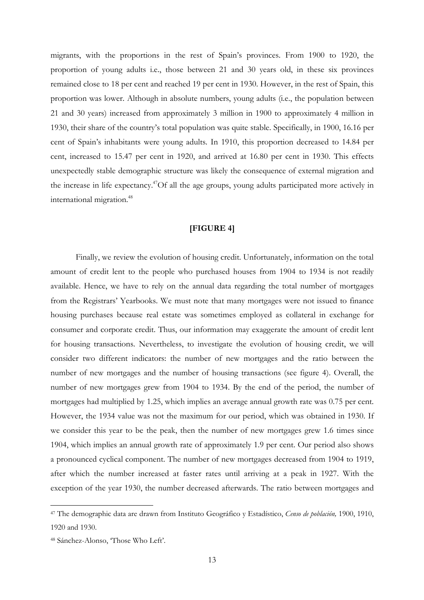migrants, with the proportions in the rest of Spain's provinces. From 1900 to 1920, the proportion of young adults i.e., those between 21 and 30 years old, in these six provinces remained close to 18 per cent and reached 19 per cent in 1930. However, in the rest of Spain, this proportion was lower. Although in absolute numbers, young adults (i.e., the population between 21 and 30 years) increased from approximately 3 million in 1900 to approximately 4 million in 1930, their share of the country's total population was quite stable. Specifically, in 1900, 16.16 per cent of Spain's inhabitants were young adults. In 1910, this proportion decreased to 14.84 per cent, increased to 15.47 per cent in 1920, and arrived at 16.80 per cent in 1930. This effects unexpectedly stable demographic structure was likely the consequence of external migration and the increase in life expectancy.<sup>47</sup>Of all the age groups, young adults participated more actively in international migration.<sup>48</sup>

#### **[FIGURE 4]**

 Finally, we review the evolution of housing credit. Unfortunately, information on the total amount of credit lent to the people who purchased houses from 1904 to 1934 is not readily available. Hence, we have to rely on the annual data regarding the total number of mortgages from the Registrars' Yearbooks. We must note that many mortgages were not issued to finance housing purchases because real estate was sometimes employed as collateral in exchange for consumer and corporate credit. Thus, our information may exaggerate the amount of credit lent for housing transactions. Nevertheless, to investigate the evolution of housing credit, we will consider two different indicators: the number of new mortgages and the ratio between the number of new mortgages and the number of housing transactions (see figure 4). Overall, the number of new mortgages grew from 1904 to 1934. By the end of the period, the number of mortgages had multiplied by 1.25, which implies an average annual growth rate was 0.75 per cent. However, the 1934 value was not the maximum for our period, which was obtained in 1930. If we consider this year to be the peak, then the number of new mortgages grew 1.6 times since 1904, which implies an annual growth rate of approximately 1.9 per cent. Our period also shows a pronounced cyclical component. The number of new mortgages decreased from 1904 to 1919, after which the number increased at faster rates until arriving at a peak in 1927. With the exception of the year 1930, the number decreased afterwards. The ratio between mortgages and

<sup>47</sup> The demographic data are drawn from Instituto Geográfico y Estadístico, *Censo de población,* 1900, 1910, 1920 and 1930.

<sup>48</sup> Sánchez-Alonso, 'Those Who Left'.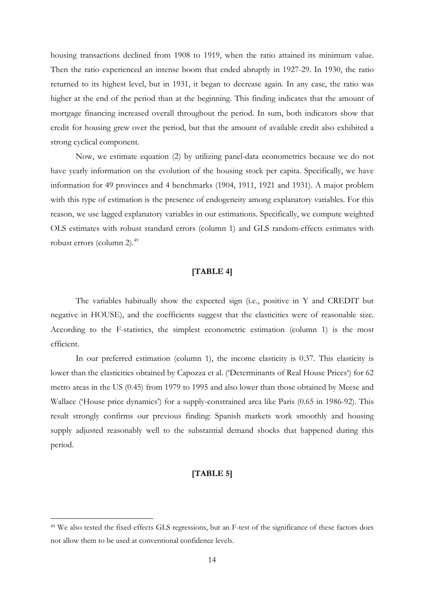housing transactions declined from 1908 to 1919, when the ratio attained its minimum value. Then the ratio experienced an intense boom that ended abruptly in 1927-29. In 1930, the ratio returned to its highest level, but in 1931, it began to decrease again. In any case, the ratio was higher at the end of the period than at the beginning. This finding indicates that the amount of mortgage financing increased overall throughout the period. In sum, both indicators show that credit for housing grew over the period, but that the amount of available credit also exhibited a strong cyclical component.

Now, we estimate equation (2) by utilizing panel-data econometrics because we do not have yearly information on the evolution of the housing stock per capita. Specifically, we have information for 49 provinces and 4 benchmarks (1904, 1911, 1921 and 1931). A major problem with this type of estimation is the presence of endogeneity among explanatory variables. For this reason, we use lagged explanatory variables in our estimations. Specifically, we compute weighted OLS estimates with robust standard errors (column 1) and GLS random-effects estimates with robust errors (column 2). $^{49}$ 

# **[TABLE 4]**

The variables habitually show the expected sign (i.e., positive in Y and CREDIT but negative in HOUSE), and the coefficients suggest that the elasticities were of reasonable size. According to the F-statistics, the simplest econometric estimation (column 1) is the most efficient.

In our preferred estimation (column 1), the income elasticity is 0.37. This elasticity is lower than the elasticities obtained by Capozza et al. ('Determinants of Real House Prices') for 62 metro areas in the US (0.45) from 1979 to 1995 and also lower than those obtained by Meese and Wallace ('House price dynamics') for a supply-constrained area like Paris (0.65 in 1986-92). This result strongly confirms our previous finding: Spanish markets work smoothly and housing supply adjusted reasonably well to the substantial demand shocks that happened during this period.

#### **[TABLE 5]**

 $\overline{a}$ 

<sup>49</sup> We also tested the fixed-effects GLS regressions, but an F-test of the significance of these factors does not allow them to be used at conventional confidence levels.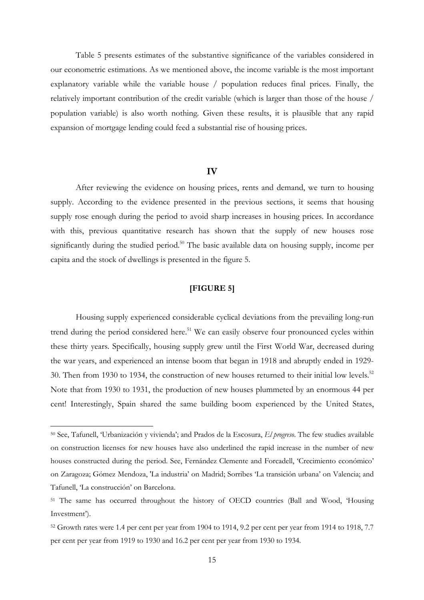Table 5 presents estimates of the substantive significance of the variables considered in our econometric estimations. As we mentioned above, the income variable is the most important explanatory variable while the variable house / population reduces final prices. Finally, the relatively important contribution of the credit variable (which is larger than those of the house / population variable) is also worth nothing. Given these results, it is plausible that any rapid expansion of mortgage lending could feed a substantial rise of housing prices.

#### **IV**

After reviewing the evidence on housing prices, rents and demand, we turn to housing supply. According to the evidence presented in the previous sections, it seems that housing supply rose enough during the period to avoid sharp increases in housing prices. In accordance with this, previous quantitative research has shown that the supply of new houses rose significantly during the studied period.<sup>50</sup> The basic available data on housing supply, income per capita and the stock of dwellings is presented in the figure 5.

### **[FIGURE 5]**

Housing supply experienced considerable cyclical deviations from the prevailing long-run trend during the period considered here.<sup>51</sup> We can easily observe four pronounced cycles within these thirty years. Specifically, housing supply grew until the First World War, decreased during the war years, and experienced an intense boom that began in 1918 and abruptly ended in 1929- 30. Then from 1930 to 1934, the construction of new houses returned to their initial low levels.<sup>52</sup> Note that from 1930 to 1931, the production of new houses plummeted by an enormous 44 per cent! Interestingly, Spain shared the same building boom experienced by the United States,

<sup>50</sup> See, Tafunell, 'Urbanización y vivienda'; and Prados de la Escosura, *El progreso*. The few studies available on construction licenses for new houses have also underlined the rapid increase in the number of new houses constructed during the period. See, Fernández Clemente and Forcadell, 'Crecimiento económico' on Zaragoza; Gómez Mendoza, 'La industria' on Madrid; Sorribes 'La transición urbana' on Valencia; and Tafunell, 'La construcción' on Barcelona.

<sup>51</sup> The same has occurred throughout the history of OECD countries (Ball and Wood, 'Housing Investment').

<sup>52</sup> Growth rates were 1.4 per cent per year from 1904 to 1914, 9.2 per cent per year from 1914 to 1918, 7.7 per cent per year from 1919 to 1930 and 16.2 per cent per year from 1930 to 1934.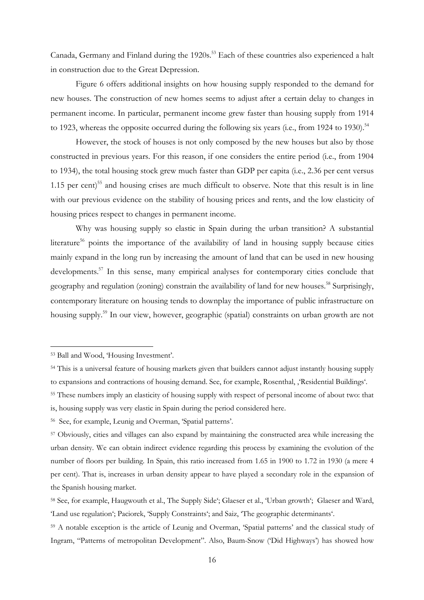Canada, Germany and Finland during the 1920s.<sup>53</sup> Each of these countries also experienced a halt in construction due to the Great Depression.

Figure 6 offers additional insights on how housing supply responded to the demand for new houses. The construction of new homes seems to adjust after a certain delay to changes in permanent income. In particular, permanent income grew faster than housing supply from 1914 to 1923, whereas the opposite occurred during the following six years (i.e., from 1924 to 1930).<sup>54</sup>

However, the stock of houses is not only composed by the new houses but also by those constructed in previous years. For this reason, if one considers the entire period (i.e., from 1904 to 1934), the total housing stock grew much faster than GDP per capita (i.e., 2.36 per cent versus 1.15 per cent)<sup>55</sup> and housing crises are much difficult to observe. Note that this result is in line with our previous evidence on the stability of housing prices and rents, and the low elasticity of housing prices respect to changes in permanent income.

Why was housing supply so elastic in Spain during the urban transition? A substantial literature<sup>56</sup> points the importance of the availability of land in housing supply because cities mainly expand in the long run by increasing the amount of land that can be used in new housing developments.<sup>57</sup> In this sense, many empirical analyses for contemporary cities conclude that geography and regulation (zoning) constrain the availability of land for new houses.<sup>58</sup> Surprisingly, contemporary literature on housing tends to downplay the importance of public infrastructure on housing supply.<sup>59</sup> In our view, however, geographic (spatial) constraints on urban growth are not

<sup>53</sup> Ball and Wood, 'Housing Investment'.

<sup>54</sup> This is a universal feature of housing markets given that builders cannot adjust instantly housing supply to expansions and contractions of housing demand. See, for example, Rosenthal, 'Residential Buildings'.

<sup>55</sup> These numbers imply an elasticity of housing supply with respect of personal income of about two: that is, housing supply was very elastic in Spain during the period considered here.

<sup>56</sup> See, for example, Leunig and Overman, 'Spatial patterns'.

<sup>57</sup> Obviously, cities and villages can also expand by maintaining the constructed area while increasing the urban density. We can obtain indirect evidence regarding this process by examining the evolution of the number of floors per building. In Spain, this ratio increased from 1.65 in 1900 to 1.72 in 1930 (a mere 4 per cent). That is, increases in urban density appear to have played a secondary role in the expansion of the Spanish housing market.

<sup>58</sup> See, for example, Haugwouth et al., The Supply Side'; Glaeser et al., 'Urban growth'; Glaeser and Ward, 'Land use regulation'; Paciorek, 'Supply Constraints'; and Saiz, 'The geographic determinants'.

<sup>59</sup> A notable exception is the article of Leunig and Overman, 'Spatial patterns' and the classical study of Ingram, "Patterns of metropolitan Development". Also, Baum-Snow ('Did Highways') has showed how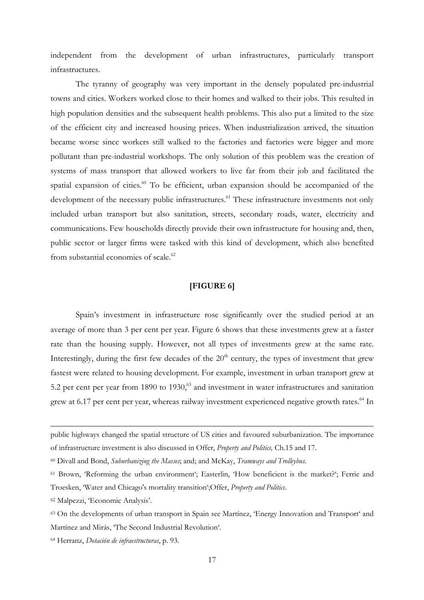independent from the development of urban infrastructures, particularly transport infrastructures.

The tyranny of geography was very important in the densely populated pre-industrial towns and cities. Workers worked close to their homes and walked to their jobs. This resulted in high population densities and the subsequent health problems. This also put a limited to the size of the efficient city and increased housing prices. When industrialization arrived, the situation became worse since workers still walked to the factories and factories were bigger and more pollutant than pre-industrial workshops. The only solution of this problem was the creation of systems of mass transport that allowed workers to live far from their job and facilitated the spatial expansion of cities.<sup>60</sup> To be efficient, urban expansion should be accompanied of the development of the necessary public infrastructures.<sup>61</sup> These infrastructure investments not only included urban transport but also sanitation, streets, secondary roads, water, electricity and communications. Few households directly provide their own infrastructure for housing and, then, public sector or larger firms were tasked with this kind of development, which also benefited from substantial economies of scale.<sup>62</sup>

### **[FIGURE 6]**

Spain's investment in infrastructure rose significantly over the studied period at an average of more than 3 per cent per year. Figure 6 shows that these investments grew at a faster rate than the housing supply. However, not all types of investments grew at the same rate. Interestingly, during the first few decades of the  $20<sup>th</sup>$  century, the types of investment that grew fastest were related to housing development. For example, investment in urban transport grew at 5.2 per cent per year from 1890 to 1930 $<sup>63</sup>$  and investment in water infrastructures and sanitation</sup> grew at 6.17 per cent per year, whereas railway investment experienced negative growth rates.<sup>64</sup> In

<sup>62</sup> Malpezzi, 'Economic Analysis'.

public highways changed the spatial structure of US cities and favoured suburbanization. The importance of infrastructure investment is also discussed in Offer, *Property and Politics,* Ch.15 and 17.

<sup>60</sup> Divall and Bond, *Suburbanizing the Masses*; and; and McKay, *Tramways and Trolleybus.*

<sup>61</sup> Brown, 'Reforming the urban environment'; Easterlin, 'How beneficient is the market?'; Ferrie and Troesken, 'Water and Chicago's mortality transition';Offer, *Property and Politics*.

<sup>63</sup> On the developments of urban transport in Spain see Martínez, 'Energy Innovation and Transport' and Martínez and Mirás, 'The Second Industrial Revolution'.

<sup>64</sup> Herranz, *Dotación de infraestructuras*, p. 93.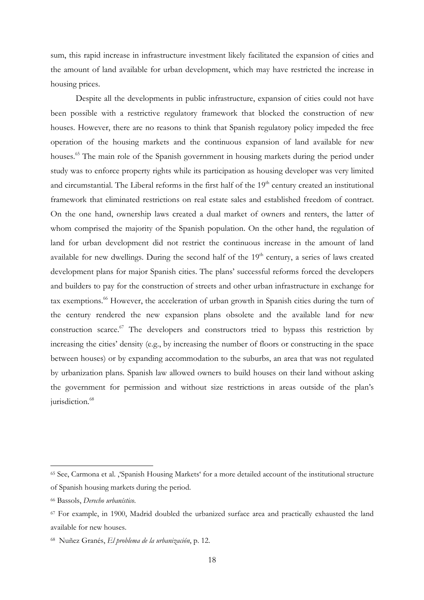sum, this rapid increase in infrastructure investment likely facilitated the expansion of cities and the amount of land available for urban development, which may have restricted the increase in housing prices.

Despite all the developments in public infrastructure, expansion of cities could not have been possible with a restrictive regulatory framework that blocked the construction of new houses. However, there are no reasons to think that Spanish regulatory policy impeded the free operation of the housing markets and the continuous expansion of land available for new houses.<sup>65</sup> The main role of the Spanish government in housing markets during the period under study was to enforce property rights while its participation as housing developer was very limited and circumstantial. The Liberal reforms in the first half of the 19<sup>th</sup> century created an institutional framework that eliminated restrictions on real estate sales and established freedom of contract. On the one hand, ownership laws created a dual market of owners and renters, the latter of whom comprised the majority of the Spanish population. On the other hand, the regulation of land for urban development did not restrict the continuous increase in the amount of land available for new dwellings. During the second half of the  $19<sup>th</sup>$  century, a series of laws created development plans for major Spanish cities. The plans' successful reforms forced the developers and builders to pay for the construction of streets and other urban infrastructure in exchange for tax exemptions.<sup>66</sup> However, the acceleration of urban growth in Spanish cities during the turn of the century rendered the new expansion plans obsolete and the available land for new construction scarce.<sup>67</sup> The developers and constructors tried to bypass this restriction by increasing the cities' density (e.g., by increasing the number of floors or constructing in the space between houses) or by expanding accommodation to the suburbs, an area that was not regulated by urbanization plans. Spanish law allowed owners to build houses on their land without asking the government for permission and without size restrictions in areas outside of the plan's jurisdiction.<sup>68</sup>

<sup>&</sup>lt;sup>65</sup> See, Carmona et al. 'Spanish Housing Markets' for a more detailed account of the institutional structure of Spanish housing markets during the period.

<sup>66</sup> Bassols, *Derecho urbanístico*.

<sup>67</sup> For example, in 1900, Madrid doubled the urbanized surface area and practically exhausted the land available for new houses.

<sup>68</sup> Nuñez Granés, *El problema de la urbanización*, p. 12.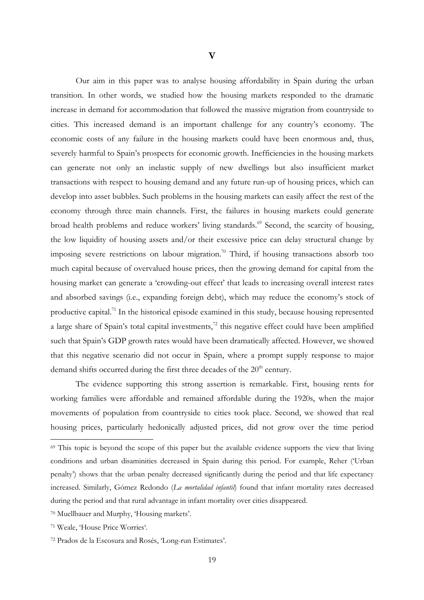Our aim in this paper was to analyse housing affordability in Spain during the urban transition. In other words, we studied how the housing markets responded to the dramatic increase in demand for accommodation that followed the massive migration from countryside to cities. This increased demand is an important challenge for any country's economy. The economic costs of any failure in the housing markets could have been enormous and, thus, severely harmful to Spain's prospects for economic growth. Inefficiencies in the housing markets can generate not only an inelastic supply of new dwellings but also insufficient market transactions with respect to housing demand and any future run-up of housing prices, which can develop into asset bubbles. Such problems in the housing markets can easily affect the rest of the economy through three main channels. First, the failures in housing markets could generate broad health problems and reduce workers' living standards.<sup>69</sup> Second, the scarcity of housing, the low liquidity of housing assets and/or their excessive price can delay structural change by imposing severe restrictions on labour migration.<sup>70</sup> Third, if housing transactions absorb too much capital because of overvalued house prices, then the growing demand for capital from the housing market can generate a 'crowding-out effect' that leads to increasing overall interest rates and absorbed savings (i.e., expanding foreign debt), which may reduce the economy's stock of productive capital.<sup>71</sup> In the historical episode examined in this study, because housing represented a large share of Spain's total capital investments,<sup> $72$ </sup> this negative effect could have been amplified such that Spain's GDP growth rates would have been dramatically affected. However, we showed that this negative scenario did not occur in Spain, where a prompt supply response to major demand shifts occurred during the first three decades of the 20<sup>th</sup> century.

The evidence supporting this strong assertion is remarkable. First, housing rents for working families were affordable and remained affordable during the 1920s, when the major movements of population from countryside to cities took place. Second, we showed that real housing prices, particularly hedonically adjusted prices, did not grow over the time period

<sup>69</sup> This topic is beyond the scope of this paper but the available evidence supports the view that living conditions and urban disaminities decreased in Spain during this period. For example, Reher ('Urban penalty') shows that the urban penalty decreased significantly during the period and that life expectancy increased. Similarly, Gómez Redondo (*La mortalidad infantil*) found that infant mortality rates decreased during the period and that rural advantage in infant mortality over cities disappeared.

<sup>70</sup> Muellbauer and Murphy, 'Housing markets'.

<sup>71</sup> Weale, 'House Price Worries'.

<sup>72</sup> Prados de la Escosura and Rosés, 'Long-run Estimates'.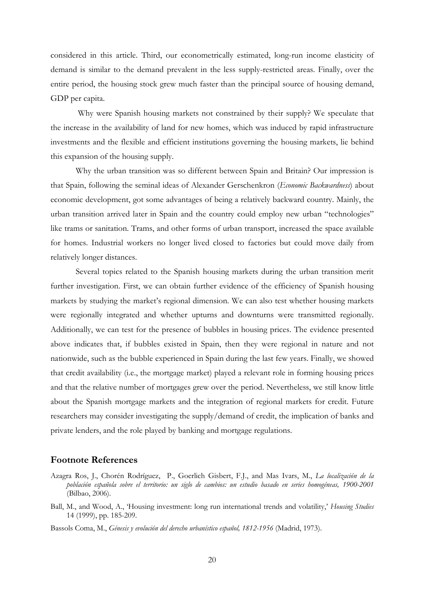considered in this article. Third, our econometrically estimated, long-run income elasticity of demand is similar to the demand prevalent in the less supply-restricted areas. Finally, over the entire period, the housing stock grew much faster than the principal source of housing demand, GDP per capita.

 Why were Spanish housing markets not constrained by their supply? We speculate that the increase in the availability of land for new homes, which was induced by rapid infrastructure investments and the flexible and efficient institutions governing the housing markets, lie behind this expansion of the housing supply.

Why the urban transition was so different between Spain and Britain? Our impression is that Spain, following the seminal ideas of Alexander Gerschenkron (*Economic Backwardness*) about economic development, got some advantages of being a relatively backward country. Mainly, the urban transition arrived later in Spain and the country could employ new urban "technologies" like trams or sanitation. Trams, and other forms of urban transport, increased the space available for homes. Industrial workers no longer lived closed to factories but could move daily from relatively longer distances.

Several topics related to the Spanish housing markets during the urban transition merit further investigation. First, we can obtain further evidence of the efficiency of Spanish housing markets by studying the market's regional dimension. We can also test whether housing markets were regionally integrated and whether upturns and downturns were transmitted regionally. Additionally, we can test for the presence of bubbles in housing prices. The evidence presented above indicates that, if bubbles existed in Spain, then they were regional in nature and not nationwide, such as the bubble experienced in Spain during the last few years. Finally, we showed that credit availability (i.e., the mortgage market) played a relevant role in forming housing prices and that the relative number of mortgages grew over the period. Nevertheless, we still know little about the Spanish mortgage markets and the integration of regional markets for credit. Future researchers may consider investigating the supply/demand of credit, the implication of banks and private lenders, and the role played by banking and mortgage regulations.

#### **Footnote References**

- Azagra Ros, J., Chorén Rodríguez, P., Goerlich Gisbert, F.J., and Mas Ivars, M., *La localización de la población española sobre el territorio: un siglo de cambios: un estudio basado en series homogéneas, 1900-2001* (Bilbao, 2006).
- Ball, M., and Wood, A., 'Housing investment: long run international trends and volatility,' *Housing Studies* 14 (1999), pp. 185-209.
- Bassols Coma, M., *Génesis y evolución del derecho urbanístico español, 1812-1956* (Madrid, 1973).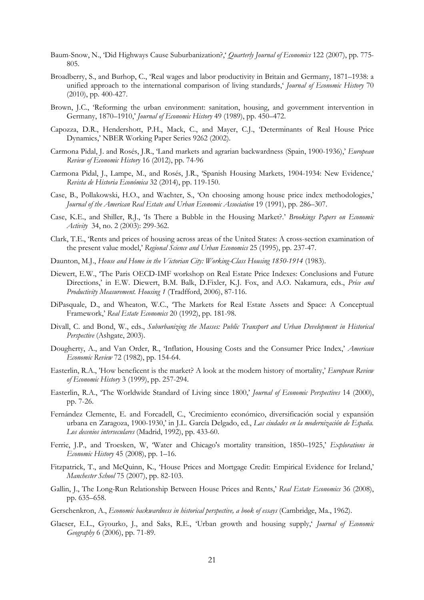- Baum-Snow, N., 'Did Highways Cause Suburbanization?,' *Quarterly Journal of Economics* 122 (2007), pp. 775- 805.
- Broadberry, S., and Burhop, C., 'Real wages and labor productivity in Britain and Germany, 1871–1938: a unified approach to the international comparison of living standards,' *Journal of Economic History* 70 (2010), pp. 400-427.
- Brown, J.C., 'Reforming the urban environment: sanitation, housing, and government intervention in Germany, 1870–1910,' *Journal of Economic History* 49 (1989), pp. 450–472.
- Capozza, D.R., Hendershott, P.H., Mack, C., and Mayer, C.J., 'Determinants of Real House Price Dynamics,' NBER Working Paper Series 9262 (2002).
- Carmona Pidal, J. and Rosés, J.R., 'Land markets and agrarian backwardness (Spain, 1900-1936),' *European Review of Economic History* 16 (2012), pp. 74-96
- Carmona Pidal, J., Lampe, M., and Rosés, J.R., 'Spanish Housing Markets, 1904-1934: New Evidence,' *Revista de Historia Económica* 32 (2014), pp. 119-150.
- Case, B., Pollakowski, H.O., and Wachter, S., 'On choosing among house price index methodologies,' *Journal of the American Real Estate and Urban Economic Association* 19 (1991), pp. 286–307.
- Case, K.E., and Shiller, R.J., 'Is There a Bubble in the Housing Market?.' *Brookings Papers on Economic Activity* 34, no. 2 (2003): 299-362.
- Clark, T.E., 'Rents and prices of housing across areas of the United States: A cross-section examination of the present value model,' *Regional Science and Urban Economics* 25 (1995), pp. 237-47.
- Daunton, M.J., *House and Home in the Victorian City: Working-Class Housing 1850-1914* (1983).
- Diewert, E.W., 'The Paris OECD-IMF workshop on Real Estate Price Indexes: Conclusions and Future Directions,' in E.W. Diewert, B.M. Balk, D.Fixler, K.J. Fox, and A.O. Nakamura, eds., *Price and Productivity Measurement. Housing 1* (Tradfford, 2006), 87-116.
- DiPasquale, D., and Wheaton, W.C., 'The Markets for Real Estate Assets and Space: A Conceptual Framework,' *Real Estate Economics* 20 (1992), pp. 181-98.
- Divall, C. and Bond, W., eds., *Suburbanizing the Masses: Public Transport and Urban Development in Historical Perspective* (Ashgate, 2003).
- Dougherty, A., and Van Order, R., 'Inflation, Housing Costs and the Consumer Price Index,' *American Economic Review* 72 (1982), pp. 154-64.
- Easterlin, R.A., 'How beneficent is the market? A look at the modern history of mortality,' *European Review of Economic History* 3 (1999), pp. 257-294.
- Easterlin, R.A., 'The Worldwide Standard of Living since 1800,' *Journal of Economic Perspectives* 14 (2000), pp. 7-26.
- Fernández Clemente, E. and Forcadell, C., 'Crecimiento económico, diversificación social y expansión urbana en Zaragoza, 1900-1930,' in J.L. García Delgado, ed., *Las ciudades en la modernización de España. Los decenios interseculares* (Madrid, 1992), pp. 433-60.
- Ferrie, J.P., and Troesken, W, 'Water and Chicago's mortality transition, 1850–1925,' *Explorations in Economic History* 45 (2008), pp. 1–16.
- Fitzpatrick, T., and McQuinn, K., 'House Prices and Mortgage Credit: Empirical Evidence for Ireland,' *Manchester School* 75 (2007), pp. 82-103.
- Gallin, J., The Long-Run Relationship Between House Prices and Rents,' *Real Estate Economics* 36 (2008), pp. 635–658.
- Gerschenkron, A., *Economic backwardness in historical perspective, a book of essays* (Cambridge, Ma., 1962).
- Glaeser, E.L., Gyourko, J., and Saks, R.E., 'Urban growth and housing supply,' *Journal of Economic Geography* 6 (2006), pp. 71-89.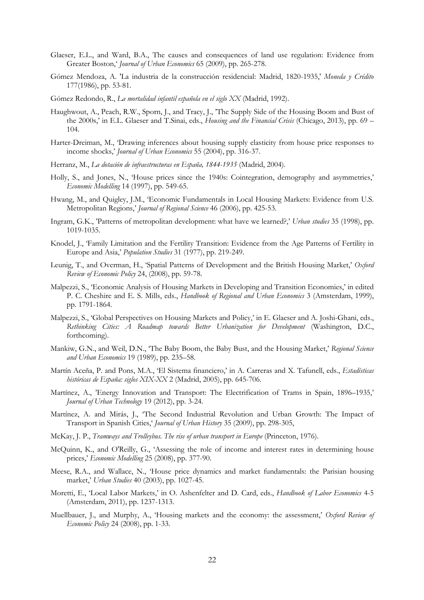- Glaeser, E.L., and Ward, B.A., The causes and consequences of land use regulation: Evidence from Greater Boston,' *Journal of Urban Economics* 65 (2009), pp. 265-278.
- Gómez Mendoza, A. 'La industria de la construcción residencial: Madrid, 1820-1935,' *Moneda y Crédito* 177(1986), pp. 53-81.
- Gómez Redondo, R., *La mortalidad infantil española en el siglo XX* (Madrid, 1992).
- Haughwout, A., Peach, R.W., Sporn, J., and Tracy, J., 'The Supply Side of the Housing Boom and Bust of the 2000s,' in E.L. Glaeser and T.Sinai, eds., *Housing and the Financial Crisis* (Chicago, 2013), pp. 69 – 104.
- Harter-Dreiman, M., 'Drawing inferences about housing supply elasticity from house price responses to income shocks,' *Journal of Urban Economics* 55 (2004), pp. 316-37.
- Herranz, M., *La dotación de infraestructuras en España, 1844-1935* (Madrid, 2004).
- Holly, S., and Jones, N., 'House prices since the 1940s: Cointegration, demography and asymmetries,' *Economic Modelling* 14 (1997), pp. 549-65.
- Hwang, M., and Quigley, J.M., 'Economic Fundamentals in Local Housing Markets: Evidence from U.S. Metropolitan Regions,' *Journal of Regional Science* 46 (2006), pp. 425-53.
- Ingram, G.K., 'Patterns of metropolitan development: what have we learned?,' *Urban studies* 35 (1998), pp. 1019-1035.
- Knodel, J., 'Family Limitation and the Fertility Transition: Evidence from the Age Patterns of Fertility in Europe and Asia,' *Population Studies* 31 (1977), pp. 219-249.
- Leunig, T., and Overman, H., 'Spatial Patterns of Development and the British Housing Market,' *Oxford Review of Economic Policy* 24, (2008), pp. 59-78.
- Malpezzi, S., 'Economic Analysis of Housing Markets in Developing and Transition Economies,' in edited P. C. Cheshire and E. S. Mills, eds., *Handbook of Regional and Urban Economics* 3 (Amsterdam, 1999), pp. 1791-1864.
- Malpezzi, S., 'Global Perspectives on Housing Markets and Policy,' in E. Glaeser and A. Joshi-Ghani, eds., *Rethinking Cities: A Roadmap towards Better Urbanization for Development* (Washington, D.C., forthcoming).
- Mankiw, G.N., and Weil, D.N., 'The Baby Boom, the Baby Bust, and the Housing Market,' *Regional Science and Urban Economics* 19 (1989), pp. 235–58.
- Martín Aceña, P. and Pons, M.A., 'El Sistema financiero,' in A. Carreras and X. Tafunell, eds., *Estadísticas históricas de España: siglos XIX-XX* 2 (Madrid, 2005), pp. 645-706.
- Martínez, A., 'Energy Innovation and Transport: The Electrification of Trams in Spain, 1896–1935,' *Journal of Urban Technology* 19 (2012), pp. 3-24.
- Martínez, A. and Mirás, J., 'The Second Industrial Revolution and Urban Growth: The Impact of Transport in Spanish Cities,' *Journal of Urban History* 35 (2009), pp. 298-305,
- McKay, J. P., *Tramways and Trolleybus. The rise of urban transport in Europe* (Princeton, 1976).
- McQuinn, K., and O'Reilly, G., 'Assessing the role of income and interest rates in determining house prices,' *Economic Modelling* 25 (2008), pp. 377-90.
- Meese, R.A., and Wallace, N., 'House price dynamics and market fundamentals: the Parisian housing market,' *Urban Studies* 40 (2003), pp. 1027-45.
- Moretti, E., 'Local Labor Markets,' in O. Ashenfelter and D. Card, eds., *Handbook of Labor Economics* 4-5 (Amsterdam, 2011), pp. 1237-1313.
- Muellbauer, J., and Murphy, A., 'Housing markets and the economy: the assessment,' *Oxford Review of Economic Policy* 24 (2008), pp. 1-33.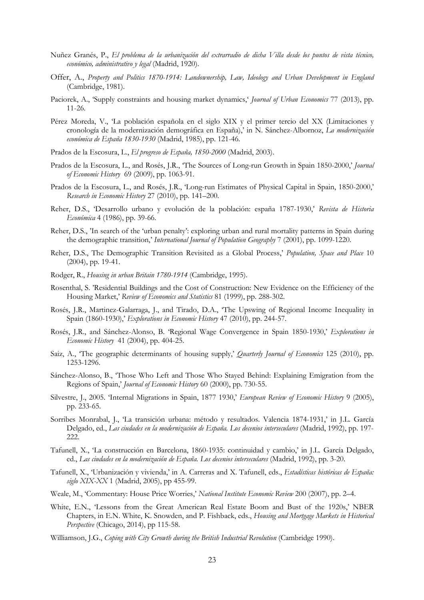- Nuñez Granés, P., *El problema de la urbanización del extrarradio de dicha Villa desde los puntos de vista técnico, económico, administrativo y legal* (Madrid, 1920).
- Offer, A., *Property and Politics 1870-1914: Landownership, Law, Ideology and Urban Development in England* (Cambridge, 1981).
- Paciorek, A., 'Supply constraints and housing market dynamics,' *Journal of Urban Economics* 77 (2013), pp. 11-26.
- Pérez Moreda, V., 'La población española en el siglo XIX y el primer tercio del XX (Limitaciones y cronología de la modernización demográfica en España),' in N. Sánchez-Albornoz, *La modernización económica de España 1830-1930* (Madrid, 1985), pp. 121-46.
- Prados de la Escosura, L., *El progreso de España, 1850-2000* (Madrid, 2003).
- Prados de la Escosura, L., and Rosés, J.R., 'The Sources of Long-run Growth in Spain 1850-2000,' *Journal of Economic History* 69 (2009), pp. 1063-91.
- Prados de la Escosura, L., and Rosés, J.R., 'Long-run Estimates of Physical Capital in Spain, 1850-2000,' *Research in Economic History* 27 (2010), pp. 141–200.
- Reher, D.S., 'Desarrollo urbano y evolución de la población: españa 1787-1930,' *Revista de Historia Económica* 4 (1986), pp. 39-66.
- Reher, D.S., 'In search of the 'urban penalty': exploring urban and rural mortality patterns in Spain during the demographic transition,' *International Journal of Population Geography* 7 (2001), pp. 1099-1220.
- Reher, D.S., The Demographic Transition Revisited as a Global Process,' *Population, Space and Place* 10 (2004), pp. 19-41.
- Rodger, R., *Housing in urban Britain 1780-1914* (Cambridge, 1995).
- Rosenthal, S. 'Residential Buildings and the Cost of Construction: New Evidence on the Efficiency of the Housing Market,' *Review of Economics and Statistics* 81 (1999), pp. 288-302.
- Rosés, J.R., Martinez-Galarraga, J., and Tirado, D.A., 'The Upswing of Regional Income Inequality in Spain (1860-1930),' *Explorations in Economic History* 47 (2010), pp. 244-57.
- Rosés, J.R., and Sánchez-Alonso, B. 'Regional Wage Convergence in Spain 1850-1930,' *Explorations in Economic History* 41 (2004), pp. 404-25.
- Saiz, A., 'The geographic determinants of housing supply,' *Quarterly Journal of Economics* 125 (2010), pp. 1253-1296.
- Sánchez-Alonso, B., 'Those Who Left and Those Who Stayed Behind: Explaining Emigration from the Regions of Spain,' *Journal of Economic History* 60 (2000), pp. 730-55.
- Silvestre, J., 2005. 'Internal Migrations in Spain, 1877 1930,' *European Review of Economic History* 9 (2005), pp. 233-65.
- Sorribes Monrabal, J., 'La transición urbana: método y resultados. Valencia 1874-1931,' in J.L. García Delgado, ed., *Las ciudades en la modernización de España. Los decenios interseculares* (Madrid, 1992), pp. 197- 222.
- Tafunell, X., 'La construcción en Barcelona, 1860-1935: continuidad y cambio,' in J.L. García Delgado, ed., *Las ciudades en la modernización de España. Los decenios interseculares* (Madrid, 1992), pp. 3-20.
- Tafunell, X., 'Urbanización y vivienda,' in A. Carreras and X. Tafunell, eds., *Estadísticas históricas de España: siglo XIX-XX* 1 (Madrid, 2005), pp 455-99.
- Weale, M., 'Commentary: House Price Worries,' *National Institute Economic Review* 200 (2007), pp. 2–4.
- White, E.N., 'Lessons from the Great American Real Estate Boom and Bust of the 1920s,' NBER Chapters, in E.N. White, K. Snowden, and P. Fishback, eds., *Housing and Mortgage Markets in Historical Perspective* (Chicago, 2014), pp 115-58.
- Williamson, J.G., *Coping with City Growth during the British Industrial Revolution* (Cambridge 1990).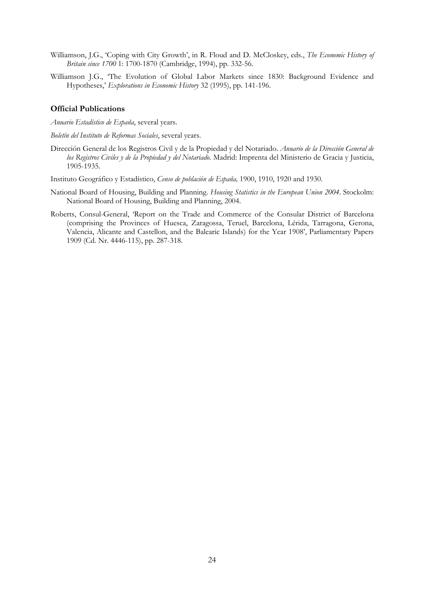- Williamson, J.G., 'Coping with City Growth', in R. Floud and D. McCloskey, eds., *The Economic History of Britain since 1700* 1: 1700-1870 (Cambridge, 1994), pp. 332-56.
- Williamson J.G., 'The Evolution of Global Labor Markets since 1830: Background Evidence and Hypotheses,' *Explorations in Economic History* 32 (1995), pp. 141-196.

#### **Official Publications**

*Anuario Estadístico de España*, several years.

*Boletín del Instituto de Reformas Sociales*, several years.

- Dirección General de los Registros Civil y de la Propiedad y del Notariado. *Anuario de la Dirección General de los Registros Civiles y de la Propiedad y del Notariado.* Madrid: Imprenta del Ministerio de Gracia y Justicia, 1905-1935.
- Instituto Geográfico y Estadístico, *Censo de población de España,* 1900, 1910, 1920 and 1930.
- National Board of Housing, Building and Planning. *Housing Statistics in the European Union 2004*. Stockolm: National Board of Housing, Building and Planning, 2004.
- Roberts, Consul-General, 'Report on the Trade and Commerce of the Consular District of Barcelona (comprising the Provinces of Huesca, Zaragossa, Teruel, Barcelona, Lérida, Tarragona, Gerona, Valencia, Alicante and Castellon, and the Balearic Islands) for the Year 1908', Parliamentary Papers 1909 (Cd. Nr. 4446-115), pp. 287-318.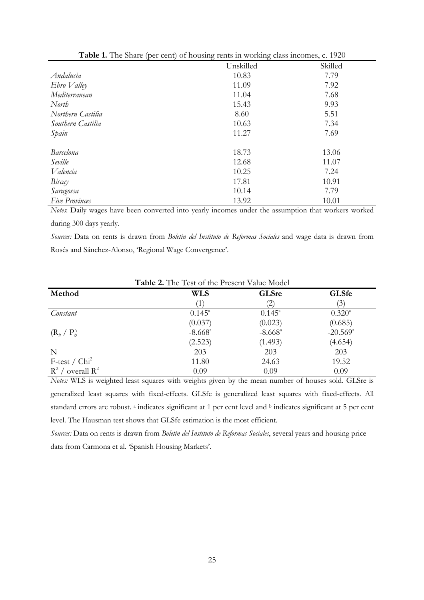| <b>Table 1.</b> The share (per cent) or housing refits in working class incomes, c. 1920 |           |         |  |
|------------------------------------------------------------------------------------------|-----------|---------|--|
|                                                                                          | Unskilled | Skilled |  |
| Andalucia                                                                                | 10.83     | 7.79    |  |
| $Ebro$ <i>Valley</i>                                                                     | 11.09     | 7.92    |  |
| Mediterranean                                                                            | 11.04     | 7.68    |  |
| North                                                                                    | 15.43     | 9.93    |  |
| Northern Castilia                                                                        | 8.60      | 5.51    |  |
| Southern Castilia                                                                        | 10.63     | 7.34    |  |
| Spain                                                                                    | 11.27     | 7.69    |  |
| <b>Barcelona</b>                                                                         | 18.73     | 13.06   |  |
| Seville                                                                                  | 12.68     | 11.07   |  |
| Valencia                                                                                 | 10.25     | 7.24    |  |
| Biscay                                                                                   | 17.81     | 10.91   |  |
| Saragossa                                                                                | 10.14     | 7.79    |  |
| <b>Five Provinces</b>                                                                    | 13.92     | 10.01   |  |

| Table 1. The Share (per cent) of housing rents in working class incomes, c. 1920 |  |  |  |  |  |  |
|----------------------------------------------------------------------------------|--|--|--|--|--|--|
|----------------------------------------------------------------------------------|--|--|--|--|--|--|

*Notes*: Daily wages have been converted into yearly incomes under the assumption that workers worked during 300 days yearly.

*Sources:* Data on rents is drawn from *Boletin del Instituto de Reformas Sociales* and wage data is drawn from Rosés and Sánchez-Alonso, 'Regional Wage Convergence'.

| <b>Table 2.</b> The Test of the Present Value Model |                       |                       |                        |  |
|-----------------------------------------------------|-----------------------|-----------------------|------------------------|--|
| Method                                              | WLS                   | <b>GLSre</b>          | <b>GLSfe</b>           |  |
|                                                     |                       | $\left( 2\right)$     | (3)                    |  |
| Constant                                            | $0.145^{\circ}$       | $0.145^{\circ}$       | $0.320^{\circ}$        |  |
|                                                     | (0.037)               | (0.023)               | (0.685)                |  |
| $(R_{it} / P_{it})$                                 | $-8.668$ <sup>a</sup> | $-8.668$ <sup>a</sup> | $-20.569$ <sup>a</sup> |  |
|                                                     | (2.523)               | (1.493)               | (4.654)                |  |
| $\mathbf N$                                         | 203                   | 203                   | 203                    |  |
| $F-test / Chi2$                                     | 11.80                 | 24.63                 | 19.52                  |  |
| $R^2$ / overall $R^2$                               | 0.09                  | 0.09                  | 0.09                   |  |

**Table 2.** The Test of the Present Value Model

*Notes:* WLS is weighted least squares with weights given by the mean number of houses sold. GLSre is generalized least squares with fixed-effects. GLSfe is generalized least squares with fixed-effects. All standard errors are robust. <sup>a</sup> indicates significant at 1 per cent level and <sup>b</sup> indicates significant at 5 per cent level. The Hausman test shows that GLSfe estimation is the most efficient.

*Sources:* Data on rents is drawn from *Boletín del Instituto de Reformas Sociales*, several years and housing price data from Carmona et al. 'Spanish Housing Markets'.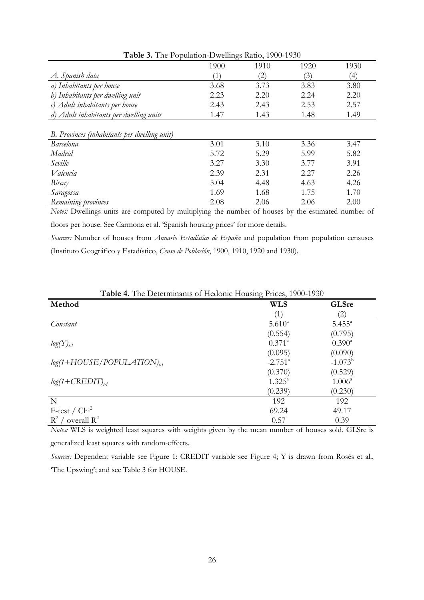| 1900         | 1910              | 1920    | 1930             |
|--------------|-------------------|---------|------------------|
| $\mathbf{1}$ | $\left( 2\right)$ | (3)     | $\left(4\right)$ |
| 3.68         | 3.73              | 3.83    | 3.80             |
| 2.23         | 2.20              | 2.24    | 2.20             |
| 2.43         | 2.43              | 2.53    | 2.57             |
| 1.47         | 1.43              | 1.48    | 1.49             |
|              |                   |         |                  |
|              |                   |         |                  |
| 3.01         | 3.10              | 3.36    | 3.47             |
| 5.72         | 5.29              | 5.99    | 5.82             |
| 3.27         | 3.30              | 3.77    | 3.91             |
| 2.39         | 2.31              | 2.27    | 2.26             |
| 5.04         | 4.48              | 4.63    | 4.26             |
| 1.69         | 1.68              | 1.75    | 1.70             |
| 2.08         | 2.06              | 2.06    | 2.00             |
|              |                   | $\cdot$ |                  |

**Table 3.** The Population-Dwellings Ratio, 1900-1930

*Notes:* Dwellings units are computed by multiplying the number of houses by the estimated number of floors per house. See Carmona et al. 'Spanish housing prices' for more details.

*Sources:* Number of houses from *Anuario Estadístico de España* and population from population censuses (Instituto Geográfico y Estadístico, *Censo de Población*, 1900, 1910, 1920 and 1930).

| <b>TWORE</b> IF THE DURBHILIMATED OF FROMOTIC FLOWDING THROUGH 1990 TOOD<br>Method | <b>WLS</b>            | <b>GLSre</b>      |
|------------------------------------------------------------------------------------|-----------------------|-------------------|
|                                                                                    | $\left(1\right)$      | $\left( 2\right)$ |
| Constant                                                                           | $5.610^{a}$           | $5.455^{\circ}$   |
|                                                                                    | (0.554)               | (0.795)           |
| $log(Y)_{t-1}$                                                                     | $0.371^{\circ}$       | $0.390^{\circ}$   |
|                                                                                    | (0.095)               | (0.090)           |
| $log(1+HOUSE/POPULATION)_{64}$                                                     | $-2.751$ <sup>a</sup> | $-1.073^b$        |
|                                                                                    | (0.370)               | (0.529)           |
| $log(1+CREDIT)_{t,1}$                                                              | $1.325^{\circ}$       | $1.006^{\circ}$   |
|                                                                                    | (0.239)               | (0.230)           |
| N                                                                                  | 192                   | 192               |
| $F-test / Chi2$                                                                    | 69.24                 | 49.17             |
| $R^2$<br>/ overall $R^2$                                                           | 0.57                  | 0.39              |

**Table 4.** The Determinants of Hedonic Housing Prices, 1900-1930

*Notes:* WLS is weighted least squares with weights given by the mean number of houses sold. GLSre is generalized least squares with random-effects.

*Sources:* Dependent variable see Figure 1: CREDIT variable see Figure 4; Y is drawn from Rosés et al., 'The Upswing'; and see Table 3 for HOUSE.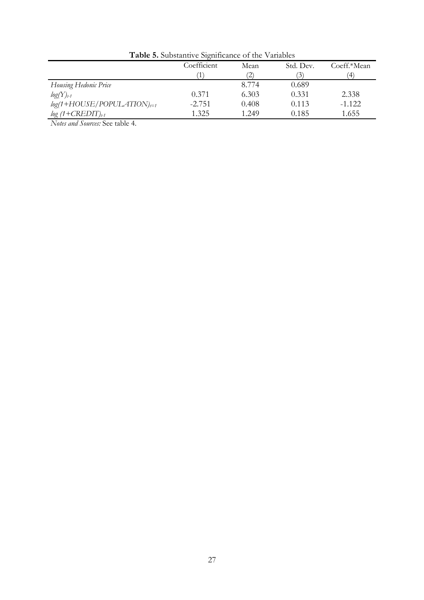| <b>Table 5.</b> Substantive Significance Of the Valiables |             |                   |                |             |  |
|-----------------------------------------------------------|-------------|-------------------|----------------|-------------|--|
|                                                           | Coefficient | Mean              | Std. Dev.      | Coeff.*Mean |  |
|                                                           |             | $\left( 2\right)$ | $\mathfrak{I}$ | ΄4          |  |
| Housing Hedonic Price                                     |             | 8.774             | 0.689          |             |  |
| $log(Y)_{t-1}$                                            | 0.371       | 6.303             | 0.331          | 2.338       |  |
| $log(1+HOUSE/POPULATION)_{t=1}$                           | $-2.751$    | 0.408             | 0.113          | $-1.122$    |  |
| $log(1+CREDIT)_{t-1}$                                     | 1.325       | 1.249             | 0.185          | 1.655       |  |

**Table 5.** Substantive Significance of the Variables

*Notes and Sources:* See table 4.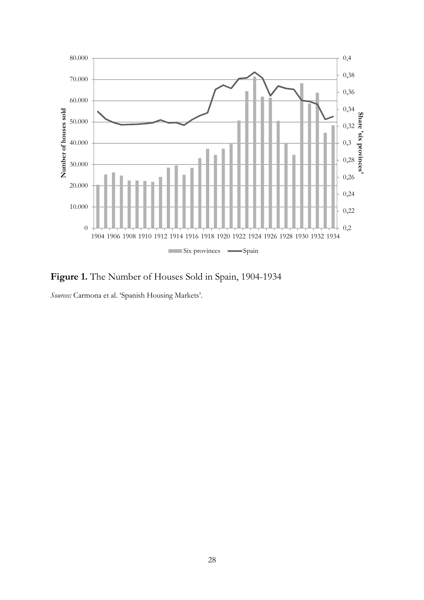

**Figure 1.** The Number of Houses Sold in Spain, 1904-1934

*Sources:* Carmona et al. 'Spanish Housing Markets'.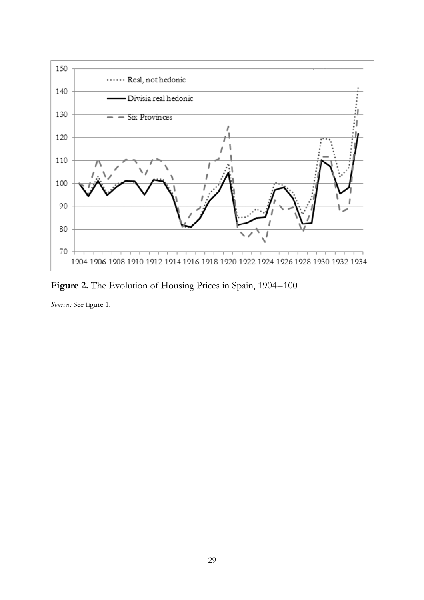

Figure 2. The Evolution of Housing Prices in Spain, 1904=100

*Sources:* See figure 1.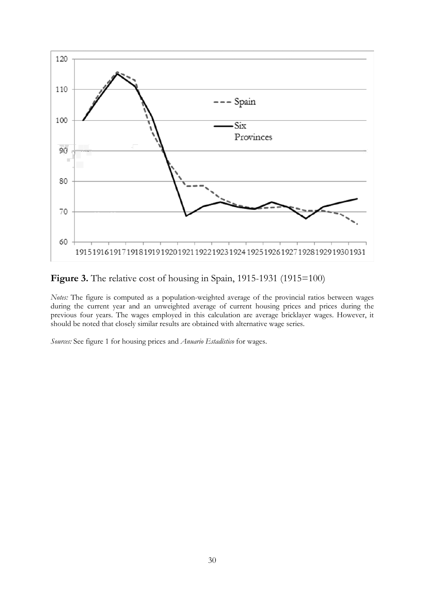

Figure 3. The relative cost of housing in Spain, 1915-1931 (1915=100)

*Notes:* The figure is computed as a population-weighted average of the provincial ratios between wages during the current year and an unweighted average of current housing prices and prices during the previous four years. The wages employed in this calculation are average bricklayer wages. However, it should be noted that closely similar results are obtained with alternative wage series.

*Sources:* See figure 1 for housing prices and *Anuario Estadístico* for wages.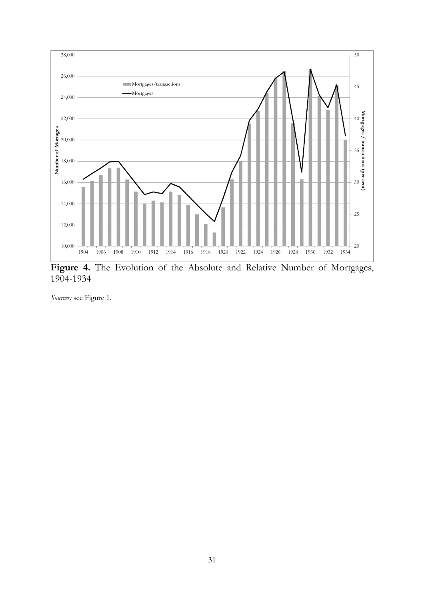

**Figure 4.** The Evolution of the Absolute and Relative Number of Mortgages, 1904-1934

*Sources:* see Figure 1.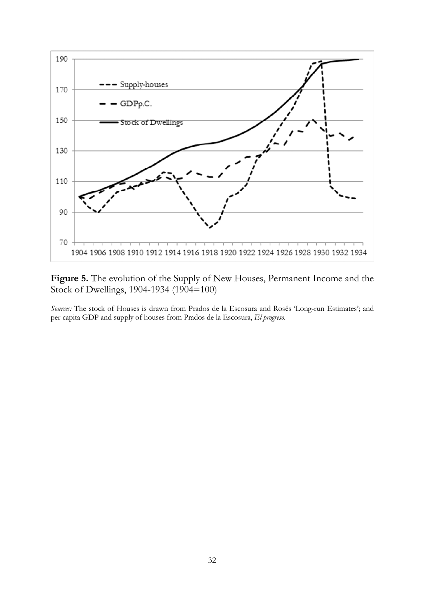

Figure 5. The evolution of the Supply of New Houses, Permanent Income and the Stock of Dwellings, 1904-1934 (1904=100)

*Sources:* The stock of Houses is drawn from Prados de la Escosura and Rosés 'Long-run Estimates'; and per capita GDP and supply of houses from Prados de la Escosura, *El progreso*.